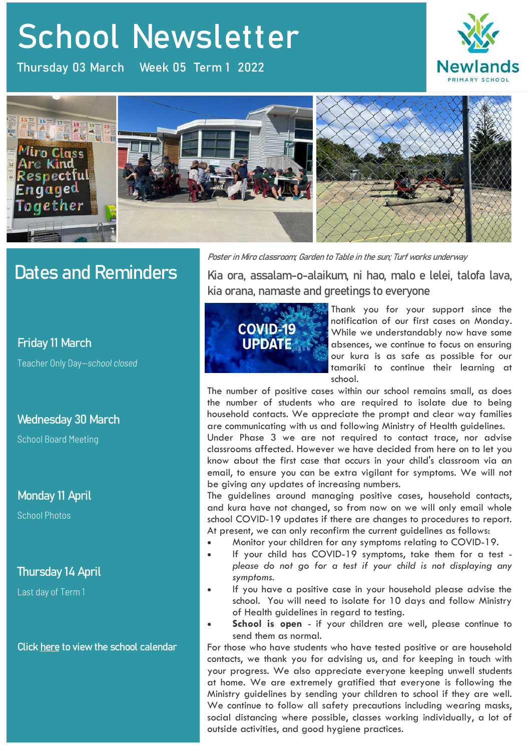# **School Newsletter** School Newsletter

Thursday 03 March Week 05 Term 1 2022





## Dates and Reminders

#### **Friday 11 March**

Teacher Only Day—*school closed*

### **Wednesday 30 March**

School Board Meeting

#### **Monday 11 April**

School Photos

### **Thursday 14 April**

Last day of Term 1

**Click [here](https://newlandsprimary.school.nz/school-calendar/) to view the school calendar**

**Poster in Miro classroom; Garden to Table in the sun; Turf works underway**

**Kia ora, assalam-o-alaikum, ni hao, malo e lelei, talofa lava, kia orana, namaste and greetings to everyone**



Thank you for your support since the notification of our first cases on Monday. While we understandably now have some absences, we continue to focus on ensuring our kura is as safe as possible for our tamariki to continue their learning at school.

The number of positive cases within our school remains small, as does the number of students who are required to isolate due to being household contacts. We appreciate the prompt and clear way families are communicating with us and following Ministry of Health guidelines.

Under Phase 3 we are not required to contact trace, nor advise classrooms affected. However we have decided from here on to let you know about the first case that occurs in your child's classroom via an email, to ensure you can be extra vigilant for symptoms. We will not be giving any updates of increasing numbers.

The guidelines around managing positive cases, household contacts, and kura have not changed, so from now on we will only email whole school COVID-19 updates if there are changes to procedures to report. At present, we can only reconfirm the current guidelines as follows:

- Monitor your children for any symptoms relating to COVID-19.
- If your child has COVID-19 symptoms, take them for a test *please do not go for a test if your child is not displaying any symptoms*.
- If you have a positive case in your household please advise the school. You will need to isolate for 10 days and follow Ministry of Health guidelines in regard to testing.
- **School is open**  if your children are well, please continue to send them as normal.

For those who have students who have tested positive or are household contacts, we thank you for advising us, and for keeping in touch with your progress. We also appreciate everyone keeping unwell students at home. We are extremely gratified that everyone is following the Ministry guidelines by sending your children to school if they are well. We continue to follow all safety precautions including wearing masks, social distancing where possible, classes working individually, a lot of outside activities, and good hygiene practices.